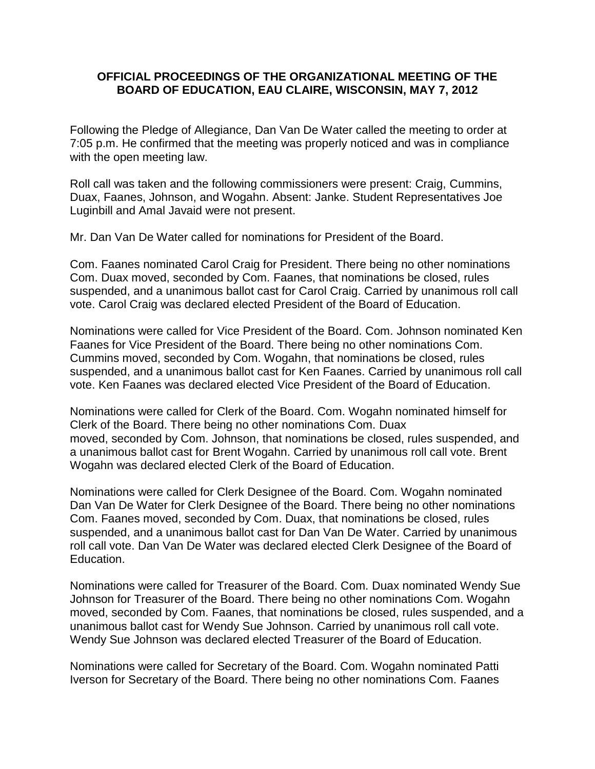### **OFFICIAL PROCEEDINGS OF THE ORGANIZATIONAL MEETING OF THE BOARD OF EDUCATION, EAU CLAIRE, WISCONSIN, MAY 7, 2012**

Following the Pledge of Allegiance, Dan Van De Water called the meeting to order at 7:05 p.m. He confirmed that the meeting was properly noticed and was in compliance with the open meeting law.

Roll call was taken and the following commissioners were present: Craig, Cummins, Duax, Faanes, Johnson, and Wogahn. Absent: Janke. Student Representatives Joe Luginbill and Amal Javaid were not present.

Mr. Dan Van De Water called for nominations for President of the Board.

Com. Faanes nominated Carol Craig for President. There being no other nominations Com. Duax moved, seconded by Com. Faanes, that nominations be closed, rules suspended, and a unanimous ballot cast for Carol Craig. Carried by unanimous roll call vote. Carol Craig was declared elected President of the Board of Education.

Nominations were called for Vice President of the Board. Com. Johnson nominated Ken Faanes for Vice President of the Board. There being no other nominations Com. Cummins moved, seconded by Com. Wogahn, that nominations be closed, rules suspended, and a unanimous ballot cast for Ken Faanes. Carried by unanimous roll call vote. Ken Faanes was declared elected Vice President of the Board of Education.

Nominations were called for Clerk of the Board. Com. Wogahn nominated himself for Clerk of the Board. There being no other nominations Com. Duax moved, seconded by Com. Johnson, that nominations be closed, rules suspended, and a unanimous ballot cast for Brent Wogahn. Carried by unanimous roll call vote. Brent Wogahn was declared elected Clerk of the Board of Education.

Nominations were called for Clerk Designee of the Board. Com. Wogahn nominated Dan Van De Water for Clerk Designee of the Board. There being no other nominations Com. Faanes moved, seconded by Com. Duax, that nominations be closed, rules suspended, and a unanimous ballot cast for Dan Van De Water. Carried by unanimous roll call vote. Dan Van De Water was declared elected Clerk Designee of the Board of Education.

Nominations were called for Treasurer of the Board. Com. Duax nominated Wendy Sue Johnson for Treasurer of the Board. There being no other nominations Com. Wogahn moved, seconded by Com. Faanes, that nominations be closed, rules suspended, and a unanimous ballot cast for Wendy Sue Johnson. Carried by unanimous roll call vote. Wendy Sue Johnson was declared elected Treasurer of the Board of Education.

Nominations were called for Secretary of the Board. Com. Wogahn nominated Patti Iverson for Secretary of the Board. There being no other nominations Com. Faanes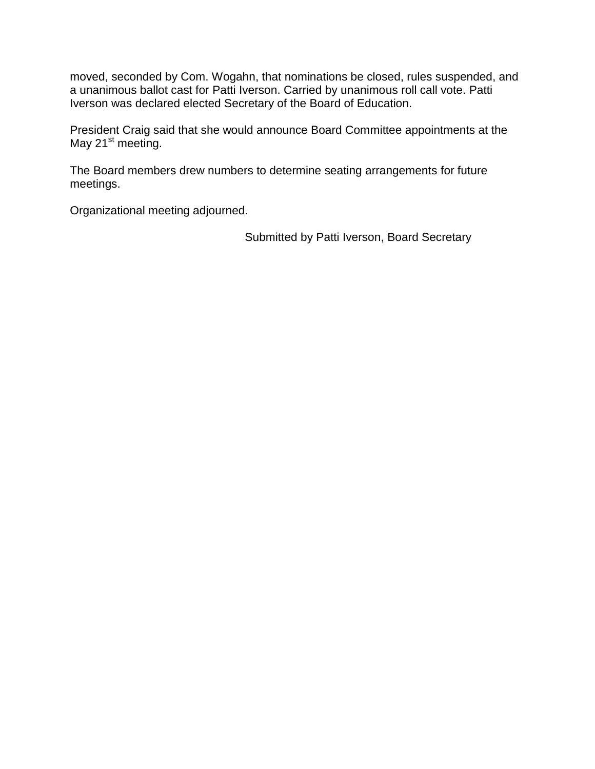moved, seconded by Com. Wogahn, that nominations be closed, rules suspended, and a unanimous ballot cast for Patti Iverson. Carried by unanimous roll call vote. Patti Iverson was declared elected Secretary of the Board of Education.

President Craig said that she would announce Board Committee appointments at the May 21<sup>st</sup> meeting.

The Board members drew numbers to determine seating arrangements for future meetings.

Organizational meeting adjourned.

Submitted by Patti Iverson, Board Secretary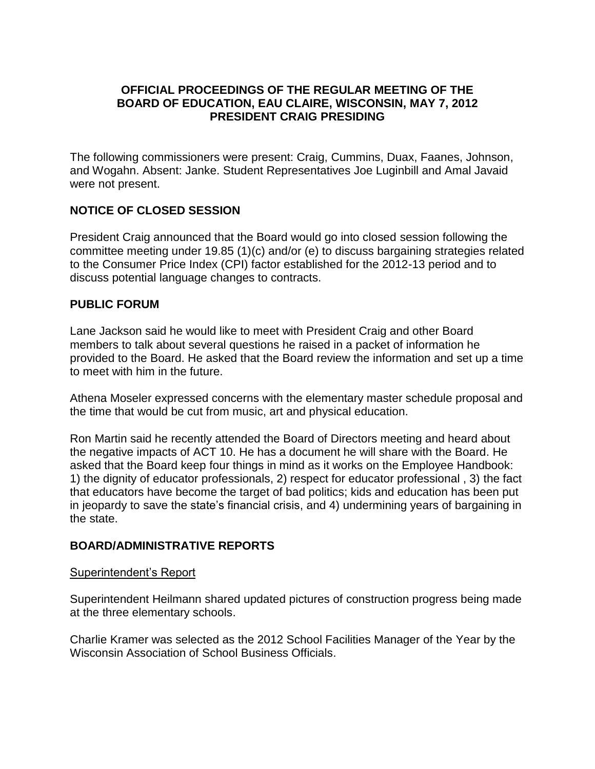### **OFFICIAL PROCEEDINGS OF THE REGULAR MEETING OF THE BOARD OF EDUCATION, EAU CLAIRE, WISCONSIN, MAY 7, 2012 PRESIDENT CRAIG PRESIDING**

The following commissioners were present: Craig, Cummins, Duax, Faanes, Johnson, and Wogahn. Absent: Janke. Student Representatives Joe Luginbill and Amal Javaid were not present.

# **NOTICE OF CLOSED SESSION**

President Craig announced that the Board would go into closed session following the committee meeting under 19.85 (1)(c) and/or (e) to discuss bargaining strategies related to the Consumer Price Index (CPI) factor established for the 2012-13 period and to discuss potential language changes to contracts.

### **PUBLIC FORUM**

Lane Jackson said he would like to meet with President Craig and other Board members to talk about several questions he raised in a packet of information he provided to the Board. He asked that the Board review the information and set up a time to meet with him in the future.

Athena Moseler expressed concerns with the elementary master schedule proposal and the time that would be cut from music, art and physical education.

Ron Martin said he recently attended the Board of Directors meeting and heard about the negative impacts of ACT 10. He has a document he will share with the Board. He asked that the Board keep four things in mind as it works on the Employee Handbook: 1) the dignity of educator professionals, 2) respect for educator professional , 3) the fact that educators have become the target of bad politics; kids and education has been put in jeopardy to save the state's financial crisis, and 4) undermining years of bargaining in the state.

#### **BOARD/ADMINISTRATIVE REPORTS**

#### Superintendent's Report

Superintendent Heilmann shared updated pictures of construction progress being made at the three elementary schools.

Charlie Kramer was selected as the 2012 School Facilities Manager of the Year by the Wisconsin Association of School Business Officials.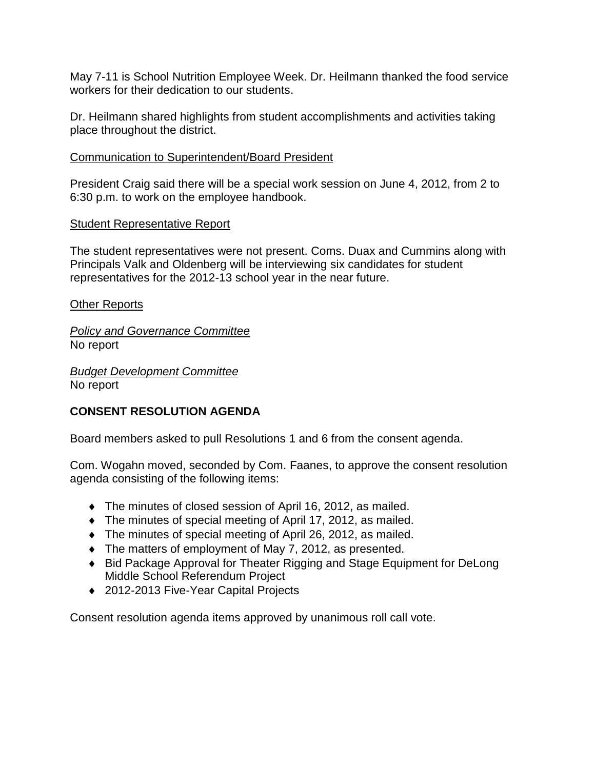May 7-11 is School Nutrition Employee Week. Dr. Heilmann thanked the food service workers for their dedication to our students.

Dr. Heilmann shared highlights from student accomplishments and activities taking place throughout the district.

# Communication to Superintendent/Board President

President Craig said there will be a special work session on June 4, 2012, from 2 to 6:30 p.m. to work on the employee handbook.

# Student Representative Report

The student representatives were not present. Coms. Duax and Cummins along with Principals Valk and Oldenberg will be interviewing six candidates for student representatives for the 2012-13 school year in the near future.

# Other Reports

*Policy and Governance Committee* No report

*Budget Development Committee* No report

# **CONSENT RESOLUTION AGENDA**

Board members asked to pull Resolutions 1 and 6 from the consent agenda.

Com. Wogahn moved, seconded by Com. Faanes, to approve the consent resolution agenda consisting of the following items:

- The minutes of closed session of April 16, 2012, as mailed.
- The minutes of special meeting of April 17, 2012, as mailed.
- The minutes of special meeting of April 26, 2012, as mailed.
- The matters of employment of May 7, 2012, as presented.
- ◆ Bid Package Approval for Theater Rigging and Stage Equipment for DeLong Middle School Referendum Project
- ◆ 2012-2013 Five-Year Capital Projects

Consent resolution agenda items approved by unanimous roll call vote.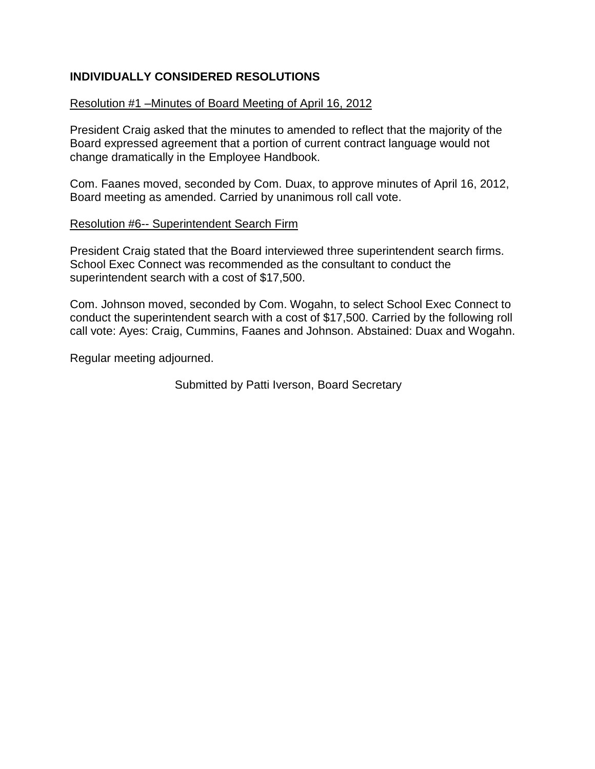# **INDIVIDUALLY CONSIDERED RESOLUTIONS**

### Resolution #1 –Minutes of Board Meeting of April 16, 2012

President Craig asked that the minutes to amended to reflect that the majority of the Board expressed agreement that a portion of current contract language would not change dramatically in the Employee Handbook.

Com. Faanes moved, seconded by Com. Duax, to approve minutes of April 16, 2012, Board meeting as amended. Carried by unanimous roll call vote.

#### Resolution #6-- Superintendent Search Firm

President Craig stated that the Board interviewed three superintendent search firms. School Exec Connect was recommended as the consultant to conduct the superintendent search with a cost of \$17,500.

Com. Johnson moved, seconded by Com. Wogahn, to select School Exec Connect to conduct the superintendent search with a cost of \$17,500. Carried by the following roll call vote: Ayes: Craig, Cummins, Faanes and Johnson. Abstained: Duax and Wogahn.

Regular meeting adjourned.

Submitted by Patti Iverson, Board Secretary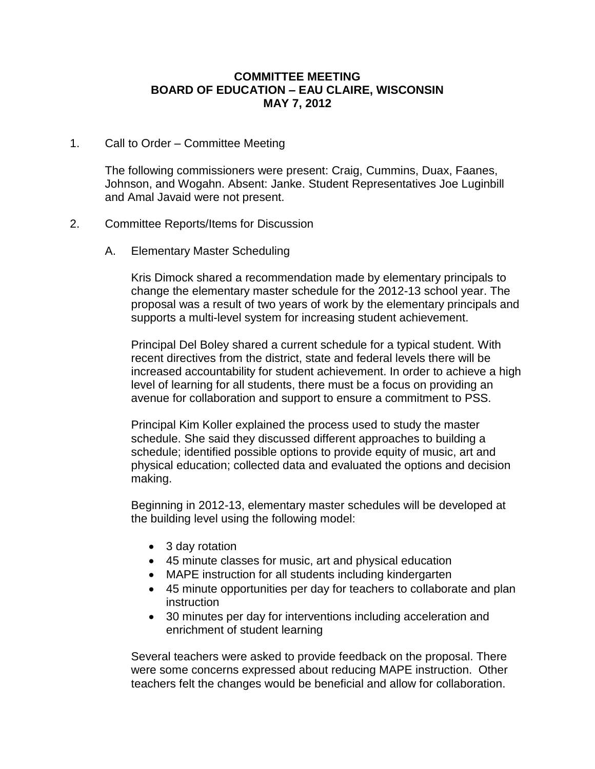#### **COMMITTEE MEETING BOARD OF EDUCATION – EAU CLAIRE, WISCONSIN MAY 7, 2012**

#### 1. Call to Order – Committee Meeting

The following commissioners were present: Craig, Cummins, Duax, Faanes, Johnson, and Wogahn. Absent: Janke. Student Representatives Joe Luginbill and Amal Javaid were not present.

#### 2. Committee Reports/Items for Discussion

A. Elementary Master Scheduling

Kris Dimock shared a recommendation made by elementary principals to change the elementary master schedule for the 2012-13 school year. The proposal was a result of two years of work by the elementary principals and supports a multi-level system for increasing student achievement.

Principal Del Boley shared a current schedule for a typical student. With recent directives from the district, state and federal levels there will be increased accountability for student achievement. In order to achieve a high level of learning for all students, there must be a focus on providing an avenue for collaboration and support to ensure a commitment to PSS.

Principal Kim Koller explained the process used to study the master schedule. She said they discussed different approaches to building a schedule; identified possible options to provide equity of music, art and physical education; collected data and evaluated the options and decision making.

Beginning in 2012-13, elementary master schedules will be developed at the building level using the following model:

- 3 day rotation
- 45 minute classes for music, art and physical education
- MAPE instruction for all students including kindergarten
- 45 minute opportunities per day for teachers to collaborate and plan instruction
- 30 minutes per day for interventions including acceleration and enrichment of student learning

Several teachers were asked to provide feedback on the proposal. There were some concerns expressed about reducing MAPE instruction. Other teachers felt the changes would be beneficial and allow for collaboration.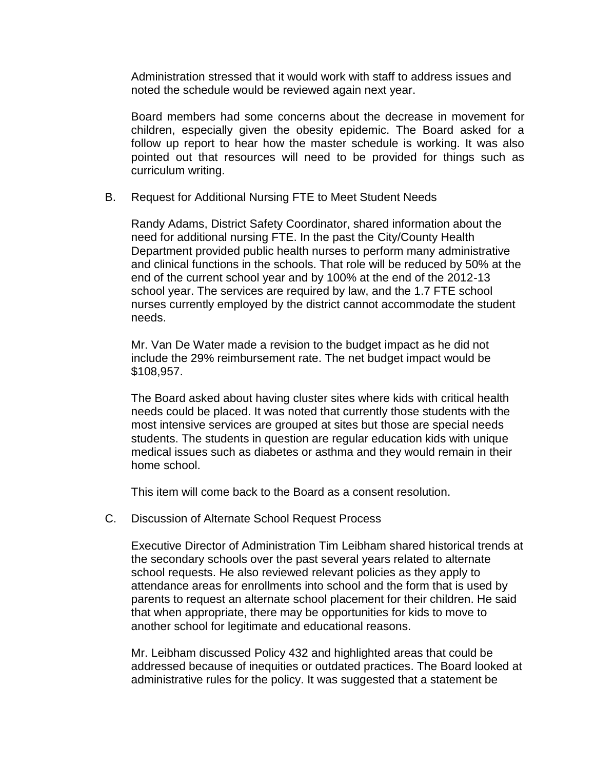Administration stressed that it would work with staff to address issues and noted the schedule would be reviewed again next year.

Board members had some concerns about the decrease in movement for children, especially given the obesity epidemic. The Board asked for a follow up report to hear how the master schedule is working. It was also pointed out that resources will need to be provided for things such as curriculum writing.

B. Request for Additional Nursing FTE to Meet Student Needs

Randy Adams, District Safety Coordinator, shared information about the need for additional nursing FTE. In the past the City/County Health Department provided public health nurses to perform many administrative and clinical functions in the schools. That role will be reduced by 50% at the end of the current school year and by 100% at the end of the 2012-13 school year. The services are required by law, and the 1.7 FTE school nurses currently employed by the district cannot accommodate the student needs.

Mr. Van De Water made a revision to the budget impact as he did not include the 29% reimbursement rate. The net budget impact would be \$108,957.

The Board asked about having cluster sites where kids with critical health needs could be placed. It was noted that currently those students with the most intensive services are grouped at sites but those are special needs students. The students in question are regular education kids with unique medical issues such as diabetes or asthma and they would remain in their home school.

This item will come back to the Board as a consent resolution.

C. Discussion of Alternate School Request Process

Executive Director of Administration Tim Leibham shared historical trends at the secondary schools over the past several years related to alternate school requests. He also reviewed relevant policies as they apply to attendance areas for enrollments into school and the form that is used by parents to request an alternate school placement for their children. He said that when appropriate, there may be opportunities for kids to move to another school for legitimate and educational reasons.

Mr. Leibham discussed Policy 432 and highlighted areas that could be addressed because of inequities or outdated practices. The Board looked at administrative rules for the policy. It was suggested that a statement be